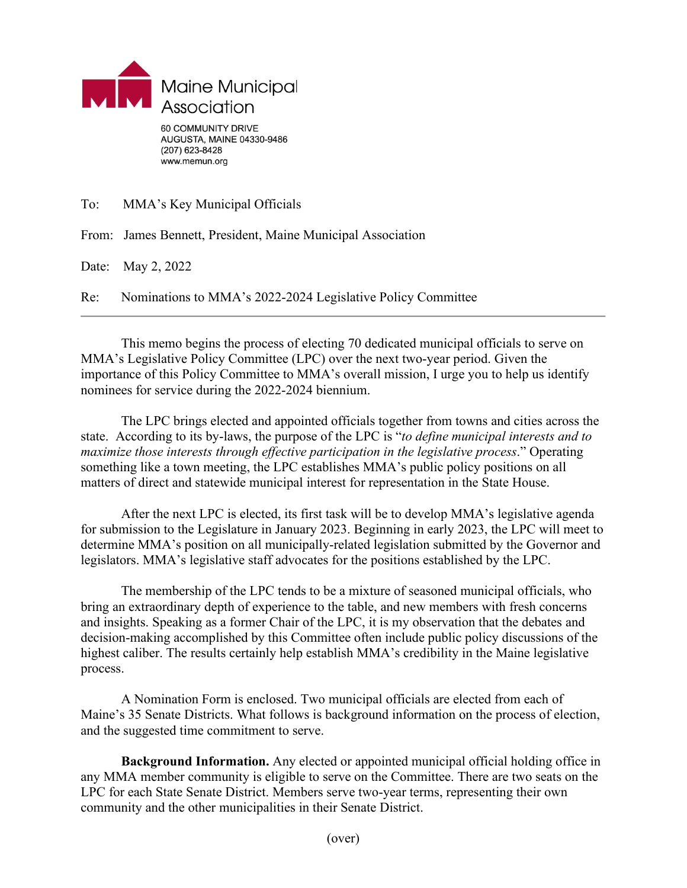

www.memun.org

To: MMA's Key Municipal Officials

From: James Bennett, President, Maine Municipal Association

Date: May 2, 2022

Re: Nominations to MMA's 2022-2024 Legislative Policy Committee

This memo begins the process of electing 70 dedicated municipal officials to serve on MMA's Legislative Policy Committee (LPC) over the next two-year period. Given the importance of this Policy Committee to MMA's overall mission, I urge you to help us identify nominees for service during the 2022-2024 biennium.

The LPC brings elected and appointed officials together from towns and cities across the state. According to its by-laws, the purpose of the LPC is "*to define municipal interests and to maximize those interests through effective participation in the legislative process*." Operating something like a town meeting, the LPC establishes MMA's public policy positions on all matters of direct and statewide municipal interest for representation in the State House.

After the next LPC is elected, its first task will be to develop MMA's legislative agenda for submission to the Legislature in January 2023. Beginning in early 2023, the LPC will meet to determine MMA's position on all municipally-related legislation submitted by the Governor and legislators. MMA's legislative staff advocates for the positions established by the LPC.

The membership of the LPC tends to be a mixture of seasoned municipal officials, who bring an extraordinary depth of experience to the table, and new members with fresh concerns and insights. Speaking as a former Chair of the LPC, it is my observation that the debates and decision-making accomplished by this Committee often include public policy discussions of the highest caliber. The results certainly help establish MMA's credibility in the Maine legislative process.

A Nomination Form is enclosed. Two municipal officials are elected from each of Maine's 35 Senate Districts. What follows is background information on the process of election, and the suggested time commitment to serve.

**Background Information.** Any elected or appointed municipal official holding office in any MMA member community is eligible to serve on the Committee. There are two seats on the LPC for each State Senate District. Members serve two-year terms, representing their own community and the other municipalities in their Senate District.